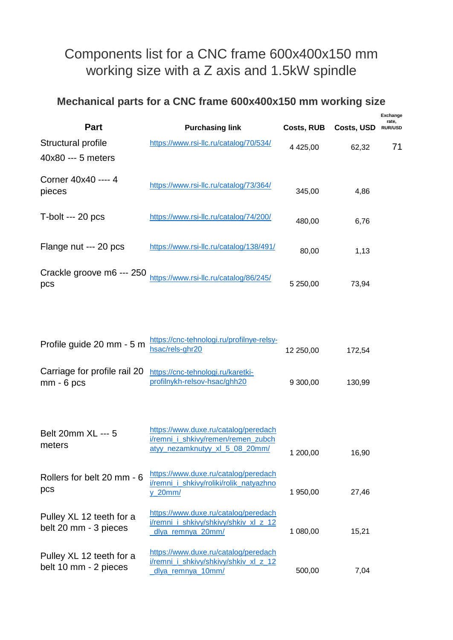## Components list for a CNC frame 600x400x150 mm working size with a Z axis and 1.5kW spindle

| Part                                     | <b>Purchasing link</b>                      | <b>Costs, RUB</b> | Costs, USD | Exchange<br>rate,<br><b>RUR/USD</b> |
|------------------------------------------|---------------------------------------------|-------------------|------------|-------------------------------------|
| Structural profile<br>40x80 --- 5 meters | https://www.rsi-llc.ru/catalog/70/534/      | 4 4 2 5,00        | 62,32      | 71                                  |
| Corner 40x40 ---- 4<br>pieces            | https://www.rsi-llc.ru/catalog/73/364/      | 345,00            | 4,86       |                                     |
| $T$ -bolt --- 20 pcs                     | https://www.rsi-llc.ru/catalog/74/200/      | 480,00            | 6,76       |                                     |
| Flange nut --- 20 pcs                    | https://www.rsi-llc.ru/catalog/138/491/     | 80,00             | 1,13       |                                     |
| Crackle groove m6 --- 250<br>pcs         | https://www.rsi-llc.ru/catalog/86/245/      | 5 250,00          | 73,94      |                                     |
|                                          | تتملمس متنما المسمانيس اسمامه ممامه ممساليم |                   |            |                                     |

## **Mechanical parts for a CNC frame 600x400x150 mm working size**

| Profile guide 20 mm - 5 m | https://cnc-tehnologi.ru/profilnye-relsy-<br>hsac/rels-ghr20                                   | 12 250,00 | 172.54 |
|---------------------------|------------------------------------------------------------------------------------------------|-----------|--------|
| $mm - 6 pcs$              | Carriage for profile rail 20 https://cnc-tehnologi.ru/karetki-<br>profilnykh-relsov-hsac/ghh20 | 9 300,00  | 130,99 |

| Belt 20mm XL --- 5<br>meters                      | https://www.duxe.ru/catalog/peredach<br>i/remni i shkivy/remen/remen zubch<br>atyy_nezamknutyy_xl_5_08_20mm/ | 1 200,00 | 16,90 |
|---------------------------------------------------|--------------------------------------------------------------------------------------------------------------|----------|-------|
| Rollers for belt 20 mm - 6<br>pcs                 | https://www.duxe.ru/catalog/peredach<br>i/remni_i_shkivy/roliki/rolik_natyazhno<br>$y$ 20 $mm/$              | 1 950.00 | 27,46 |
| Pulley XL 12 teeth for a<br>belt 20 mm - 3 pieces | https://www.duxe.ru/catalog/peredach<br>i/remni i shkivy/shkivy/shkiv xl z 12<br>dlya remnya 20mm/           | 1 080.00 | 15,21 |
| Pulley XL 12 teeth for a<br>belt 10 mm - 2 pieces | https://www.duxe.ru/catalog/peredach<br>i/remni i shkivy/shkivy/shkiv xl z 12<br>dlya_remnya_10mm/           | 500,00   | 7.04  |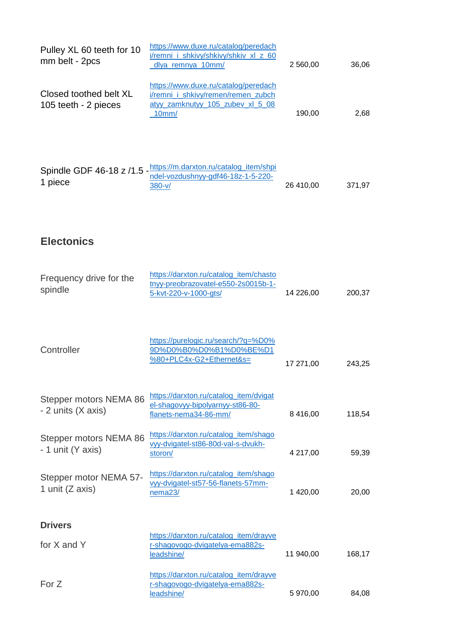| Pulley XL 60 teeth for 10<br>mm belt - 2pcs    | https://www.duxe.ru/catalog/peredach<br>i/remni i shkivy/shkivy/shkiv xl z 60<br>dlya_remnya_10mm/                      | 2 560,00  | 36,06  |
|------------------------------------------------|-------------------------------------------------------------------------------------------------------------------------|-----------|--------|
| Closed toothed belt XL<br>105 teeth - 2 pieces | https://www.duxe.ru/catalog/peredach<br>i/remni i shkivy/remen/remen zubch<br>atyy zamknutyy 105 zubey xl 5 08<br>10mm/ | 190,00    | 2,68   |
| 1 piece                                        | Spindle GDF 46-18 z /1.5 - https://m.darxton.ru/catalog_item/shpi<br>ndel-vozdushnyy-gdf46-18z-1-5-220-<br>$380-v/$     | 26 410,00 | 371,97 |

## **Electonics**

| Frequency drive for the<br>spindle           | https://darxton.ru/catalog_item/chasto<br>tnyy-preobrazovatel-e550-2s0015b-1-<br>5-kvt-220-v-1000-gts/ | 14 226,00 | 200,37 |
|----------------------------------------------|--------------------------------------------------------------------------------------------------------|-----------|--------|
| Controller                                   | https://purelogic.ru/search/?q=%D0%<br>9D%D0%B0%D0%B1%D0%BE%D1<br>%80+PLC4x-G2+Ethernet&s=             | 17 271,00 | 243,25 |
| Stepper motors NEMA 86<br>- 2 units (X axis) | https://darxton.ru/catalog_item/dvigat<br>el-shagovyy-bipolyarnyy-st86-80-<br>flanets-nema34-86-mm/    | 8 416,00  | 118,54 |
| Stepper motors NEMA 86<br>- 1 unit (Y axis)  | https://darxton.ru/catalog_item/shago<br>vyy-dvigatel-st86-80d-val-s-dvukh-<br>storon/                 | 4 217,00  | 59,39  |
| Stepper motor NEMA 57-<br>1 unit (Z axis)    | https://darxton.ru/catalog_item/shago<br>vyy-dvigatel-st57-56-flanets-57mm-<br>nema23/                 | 1 420,00  | 20,00  |
| <b>Drivers</b>                               |                                                                                                        |           |        |
| for X and Y                                  | https://darxton.ru/catalog_item/drayve<br>r-shagovogo-dvigatelya-ema882s-<br>leadshine/                | 11 940,00 | 168,17 |
| For Z                                        | https://darxton.ru/catalog_item/drayve<br>r-shagovogo-dvigatelya-ema882s-<br>leadshine/                | 5 970,00  | 84,08  |